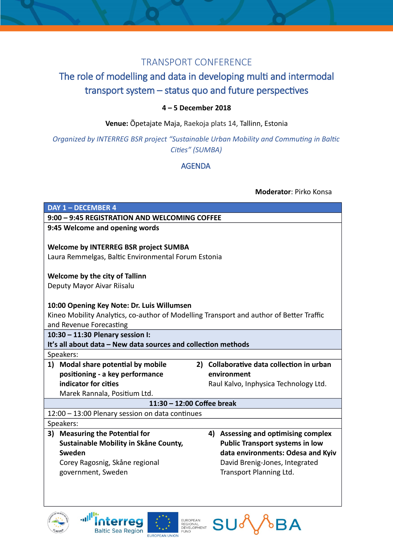## TRANSPORT CONFERENCE

# The role of modelling and data in developing multi and intermodal transport system – status quo and future perspectives

### **4 – 5 December 2018**

**Venue:** Õpetajate Maja, Raekoja plats 14, Tallinn, Estonia

### *Organized by INTERREG BSR project "Sustainable Urban Mobility and Commuting in Baltic Cities" (SUMBA)*

#### AGENDA

#### **Moderator**: Pirko Konsa







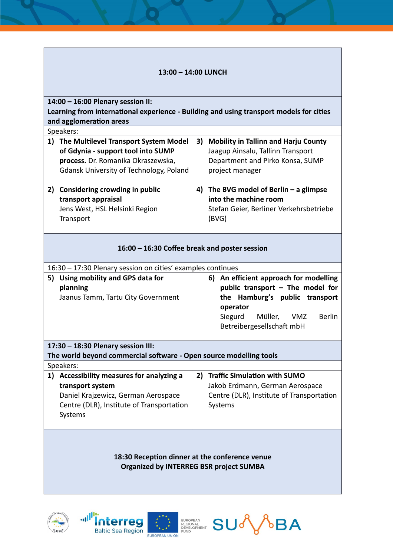| 13:00 - 14:00 LUNCH                                                                              |                                                                                   |  |                                                                                                                          |  |
|--------------------------------------------------------------------------------------------------|-----------------------------------------------------------------------------------|--|--------------------------------------------------------------------------------------------------------------------------|--|
| 14:00 - 16:00 Plenary session II:                                                                |                                                                                   |  |                                                                                                                          |  |
| Learning from international experience - Building and using transport models for cities          |                                                                                   |  |                                                                                                                          |  |
| and agglomeration areas                                                                          |                                                                                   |  |                                                                                                                          |  |
| Speakers:                                                                                        |                                                                                   |  |                                                                                                                          |  |
|                                                                                                  | 1) The Multilevel Transport System Model                                          |  | 3) Mobility in Tallinn and Harju County                                                                                  |  |
|                                                                                                  | of Gdynia - support tool into SUMP                                                |  | Jaagup Ainsalu, Tallinn Transport                                                                                        |  |
|                                                                                                  | process. Dr. Romanika Okraszewska,                                                |  | Department and Pirko Konsa, SUMP                                                                                         |  |
|                                                                                                  | <b>Gdansk University of Technology, Poland</b>                                    |  | project manager                                                                                                          |  |
| 2)                                                                                               | Considering crowding in public                                                    |  | 4) The BVG model of Berlin $-$ a glimpse                                                                                 |  |
|                                                                                                  | transport appraisal                                                               |  | into the machine room                                                                                                    |  |
|                                                                                                  | Jens West, HSL Helsinki Region                                                    |  | Stefan Geier, Berliner Verkehrsbetriebe                                                                                  |  |
|                                                                                                  | Transport                                                                         |  | (BVG)                                                                                                                    |  |
|                                                                                                  |                                                                                   |  |                                                                                                                          |  |
| 16:00 - 16:30 Coffee break and poster session                                                    |                                                                                   |  |                                                                                                                          |  |
| 16:30 – 17:30 Plenary session on cities' examples continues                                      |                                                                                   |  |                                                                                                                          |  |
| 5)                                                                                               | Using mobility and GPS data for<br>planning<br>Jaanus Tamm, Tartu City Government |  | 6) An efficient approach for modelling<br>public transport - The model for<br>the Hamburg's public transport<br>operator |  |
|                                                                                                  |                                                                                   |  | Müller,<br><b>Berlin</b><br>Siegurd<br><b>VMZ</b><br>Betreibergesellschaft mbH                                           |  |
|                                                                                                  | 17:30 - 18:30 Plenary session III:                                                |  |                                                                                                                          |  |
|                                                                                                  | The world beyond commercial software - Open source modelling tools                |  |                                                                                                                          |  |
|                                                                                                  | Speakers:                                                                         |  |                                                                                                                          |  |
|                                                                                                  | 1) Accessibility measures for analyzing a                                         |  | 2) Traffic Simulation with SUMO                                                                                          |  |
|                                                                                                  | transport system                                                                  |  | Jakob Erdmann, German Aerospace                                                                                          |  |
|                                                                                                  | Daniel Krajzewicz, German Aerospace                                               |  | Centre (DLR), Institute of Transportation                                                                                |  |
|                                                                                                  | Centre (DLR), Institute of Transportation<br>Systems                              |  | Systems                                                                                                                  |  |
| 18:30 Reception dinner at the conference venue<br><b>Organized by INTERREG BSR project SUMBA</b> |                                                                                   |  |                                                                                                                          |  |